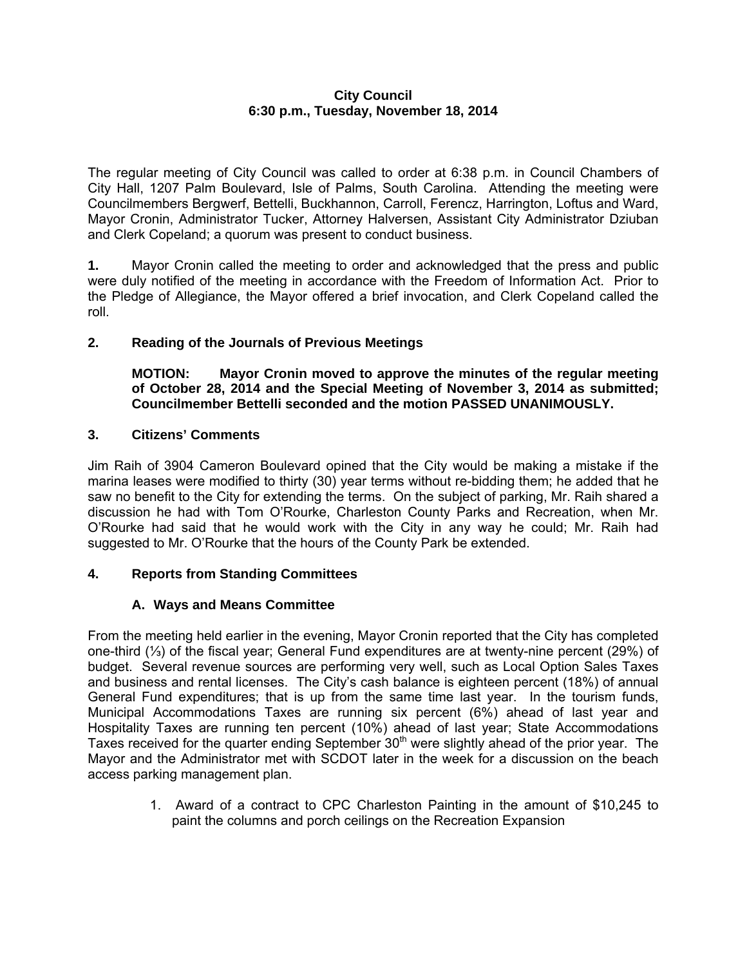## **City Council 6:30 p.m., Tuesday, November 18, 2014**

The regular meeting of City Council was called to order at 6:38 p.m. in Council Chambers of City Hall, 1207 Palm Boulevard, Isle of Palms, South Carolina. Attending the meeting were Councilmembers Bergwerf, Bettelli, Buckhannon, Carroll, Ferencz, Harrington, Loftus and Ward, Mayor Cronin, Administrator Tucker, Attorney Halversen, Assistant City Administrator Dziuban and Clerk Copeland; a quorum was present to conduct business.

**1.** Mayor Cronin called the meeting to order and acknowledged that the press and public were duly notified of the meeting in accordance with the Freedom of Information Act. Prior to the Pledge of Allegiance, the Mayor offered a brief invocation, and Clerk Copeland called the roll.

## **2. Reading of the Journals of Previous Meetings**

**MOTION: Mayor Cronin moved to approve the minutes of the regular meeting of October 28, 2014 and the Special Meeting of November 3, 2014 as submitted; Councilmember Bettelli seconded and the motion PASSED UNANIMOUSLY.** 

## **3. Citizens' Comments**

Jim Raih of 3904 Cameron Boulevard opined that the City would be making a mistake if the marina leases were modified to thirty (30) year terms without re-bidding them; he added that he saw no benefit to the City for extending the terms. On the subject of parking, Mr. Raih shared a discussion he had with Tom O'Rourke, Charleston County Parks and Recreation, when Mr. O'Rourke had said that he would work with the City in any way he could; Mr. Raih had suggested to Mr. O'Rourke that the hours of the County Park be extended.

## **4. Reports from Standing Committees**

# **A. Ways and Means Committee**

From the meeting held earlier in the evening, Mayor Cronin reported that the City has completed one-third (⅓) of the fiscal year; General Fund expenditures are at twenty-nine percent (29%) of budget. Several revenue sources are performing very well, such as Local Option Sales Taxes and business and rental licenses. The City's cash balance is eighteen percent (18%) of annual General Fund expenditures; that is up from the same time last year. In the tourism funds, Municipal Accommodations Taxes are running six percent (6%) ahead of last year and Hospitality Taxes are running ten percent (10%) ahead of last year; State Accommodations Taxes received for the quarter ending September  $30<sup>th</sup>$  were slightly ahead of the prior year. The Mayor and the Administrator met with SCDOT later in the week for a discussion on the beach access parking management plan.

> 1. Award of a contract to CPC Charleston Painting in the amount of \$10,245 to paint the columns and porch ceilings on the Recreation Expansion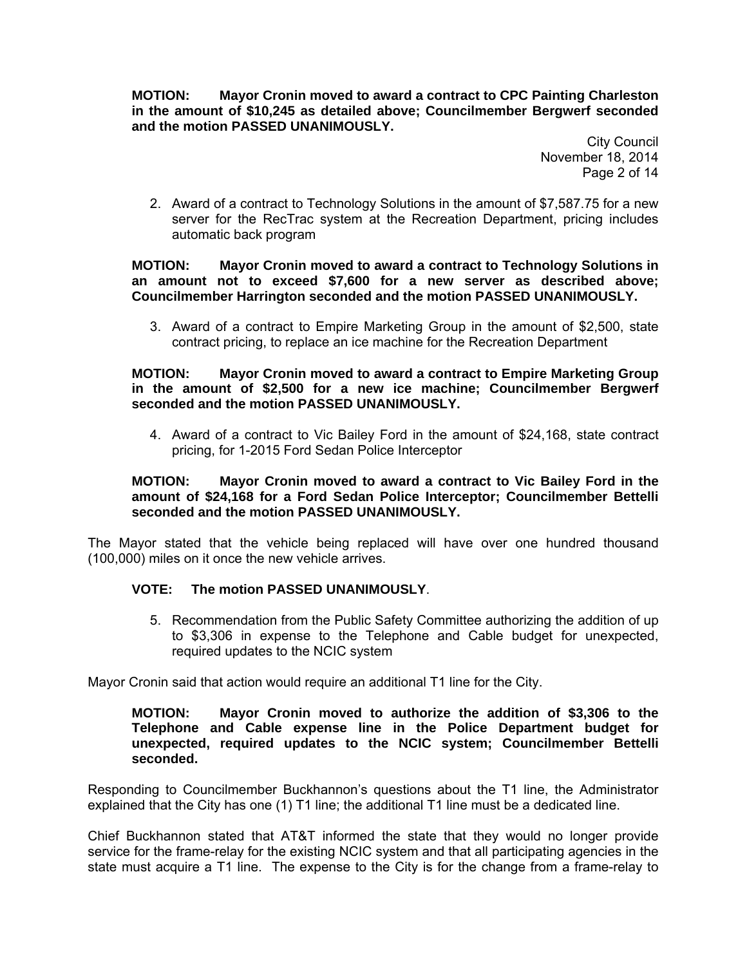**MOTION: Mayor Cronin moved to award a contract to CPC Painting Charleston in the amount of \$10,245 as detailed above; Councilmember Bergwerf seconded and the motion PASSED UNANIMOUSLY.** 

> City Council November 18, 2014 Page 2 of 14

2. Award of a contract to Technology Solutions in the amount of \$7,587.75 for a new server for the RecTrac system at the Recreation Department, pricing includes automatic back program

## **MOTION: Mayor Cronin moved to award a contract to Technology Solutions in an amount not to exceed \$7,600 for a new server as described above; Councilmember Harrington seconded and the motion PASSED UNANIMOUSLY.**

3. Award of a contract to Empire Marketing Group in the amount of \$2,500, state contract pricing, to replace an ice machine for the Recreation Department

### **MOTION: Mayor Cronin moved to award a contract to Empire Marketing Group in the amount of \$2,500 for a new ice machine; Councilmember Bergwerf seconded and the motion PASSED UNANIMOUSLY.**

4. Award of a contract to Vic Bailey Ford in the amount of \$24,168, state contract pricing, for 1-2015 Ford Sedan Police Interceptor

## **MOTION: Mayor Cronin moved to award a contract to Vic Bailey Ford in the amount of \$24,168 for a Ford Sedan Police Interceptor; Councilmember Bettelli seconded and the motion PASSED UNANIMOUSLY.**

The Mayor stated that the vehicle being replaced will have over one hundred thousand (100,000) miles on it once the new vehicle arrives.

## **VOTE: The motion PASSED UNANIMOUSLY**.

5. Recommendation from the Public Safety Committee authorizing the addition of up to \$3,306 in expense to the Telephone and Cable budget for unexpected, required updates to the NCIC system

Mayor Cronin said that action would require an additional T1 line for the City.

## **MOTION: Mayor Cronin moved to authorize the addition of \$3,306 to the Telephone and Cable expense line in the Police Department budget for unexpected, required updates to the NCIC system; Councilmember Bettelli seconded.**

Responding to Councilmember Buckhannon's questions about the T1 line, the Administrator explained that the City has one (1) T1 line; the additional T1 line must be a dedicated line.

Chief Buckhannon stated that AT&T informed the state that they would no longer provide service for the frame-relay for the existing NCIC system and that all participating agencies in the state must acquire a T1 line. The expense to the City is for the change from a frame-relay to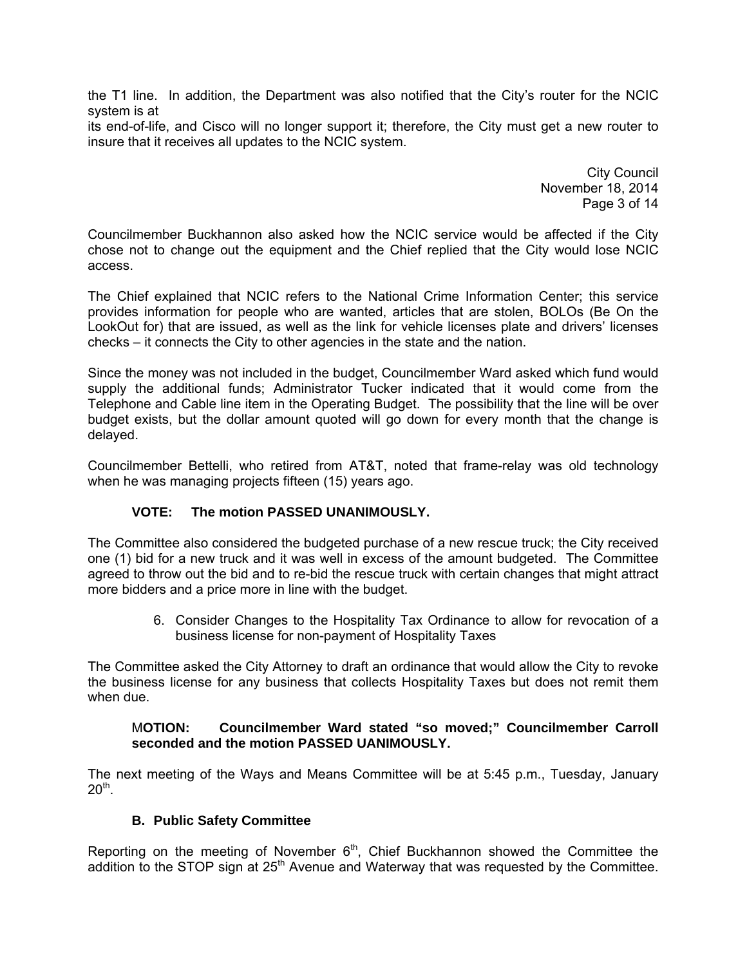the T1 line. In addition, the Department was also notified that the City's router for the NCIC system is at

its end-of-life, and Cisco will no longer support it; therefore, the City must get a new router to insure that it receives all updates to the NCIC system.

> City Council November 18, 2014 Page 3 of 14

Councilmember Buckhannon also asked how the NCIC service would be affected if the City chose not to change out the equipment and the Chief replied that the City would lose NCIC access.

The Chief explained that NCIC refers to the National Crime Information Center; this service provides information for people who are wanted, articles that are stolen, BOLOs (Be On the LookOut for) that are issued, as well as the link for vehicle licenses plate and drivers' licenses checks – it connects the City to other agencies in the state and the nation.

Since the money was not included in the budget, Councilmember Ward asked which fund would supply the additional funds; Administrator Tucker indicated that it would come from the Telephone and Cable line item in the Operating Budget. The possibility that the line will be over budget exists, but the dollar amount quoted will go down for every month that the change is delayed.

Councilmember Bettelli, who retired from AT&T, noted that frame-relay was old technology when he was managing projects fifteen (15) years ago.

# **VOTE: The motion PASSED UNANIMOUSLY.**

The Committee also considered the budgeted purchase of a new rescue truck; the City received one (1) bid for a new truck and it was well in excess of the amount budgeted. The Committee agreed to throw out the bid and to re-bid the rescue truck with certain changes that might attract more bidders and a price more in line with the budget.

> 6. Consider Changes to the Hospitality Tax Ordinance to allow for revocation of a business license for non-payment of Hospitality Taxes

The Committee asked the City Attorney to draft an ordinance that would allow the City to revoke the business license for any business that collects Hospitality Taxes but does not remit them when due.

## M**OTION: Councilmember Ward stated "so moved;" Councilmember Carroll seconded and the motion PASSED UANIMOUSLY.**

The next meeting of the Ways and Means Committee will be at 5:45 p.m., Tuesday, January  $20<sup>th</sup>$ .

## **B. Public Safety Committee**

Reporting on the meeting of November  $6<sup>th</sup>$ , Chief Buckhannon showed the Committee the addition to the STOP sign at 25<sup>th</sup> Avenue and Waterway that was requested by the Committee.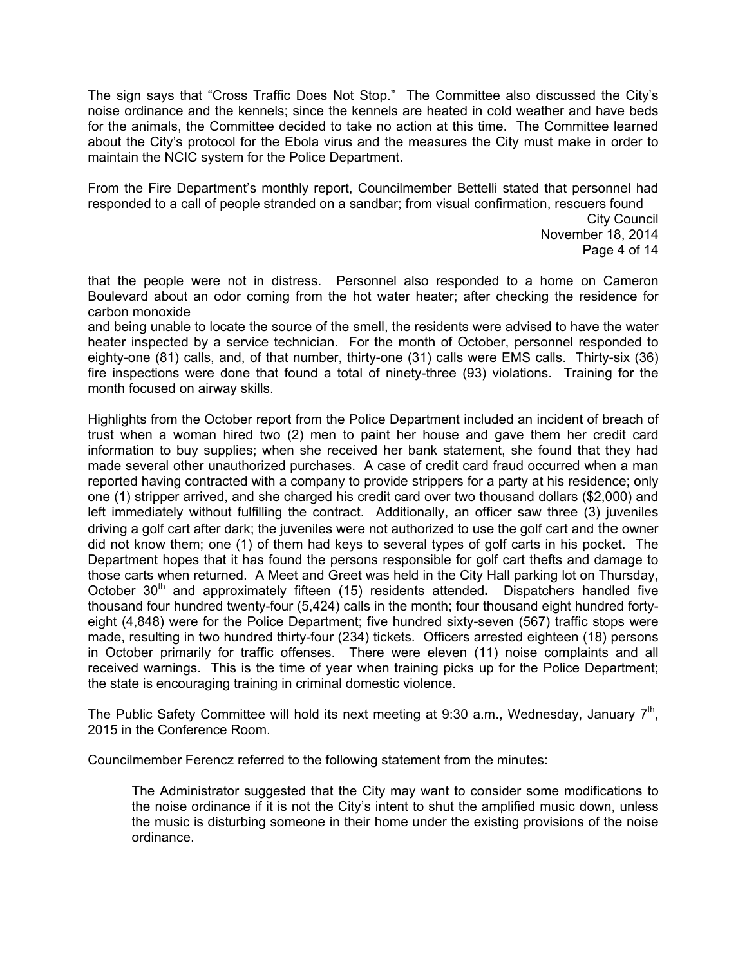The sign says that "Cross Traffic Does Not Stop." The Committee also discussed the City's noise ordinance and the kennels; since the kennels are heated in cold weather and have beds for the animals, the Committee decided to take no action at this time. The Committee learned about the City's protocol for the Ebola virus and the measures the City must make in order to maintain the NCIC system for the Police Department.

From the Fire Department's monthly report, Councilmember Bettelli stated that personnel had responded to a call of people stranded on a sandbar; from visual confirmation, rescuers found

City Council November 18, 2014 Page 4 of 14

that the people were not in distress. Personnel also responded to a home on Cameron Boulevard about an odor coming from the hot water heater; after checking the residence for carbon monoxide

and being unable to locate the source of the smell, the residents were advised to have the water heater inspected by a service technician. For the month of October, personnel responded to eighty-one (81) calls, and, of that number, thirty-one (31) calls were EMS calls. Thirty-six (36) fire inspections were done that found a total of ninety-three (93) violations. Training for the month focused on airway skills.

Highlights from the October report from the Police Department included an incident of breach of trust when a woman hired two (2) men to paint her house and gave them her credit card information to buy supplies; when she received her bank statement, she found that they had made several other unauthorized purchases. A case of credit card fraud occurred when a man reported having contracted with a company to provide strippers for a party at his residence; only one (1) stripper arrived, and she charged his credit card over two thousand dollars (\$2,000) and left immediately without fulfilling the contract. Additionally, an officer saw three (3) juveniles driving a golf cart after dark; the juveniles were not authorized to use the golf cart and the owner did not know them; one (1) of them had keys to several types of golf carts in his pocket. The Department hopes that it has found the persons responsible for golf cart thefts and damage to those carts when returned. A Meet and Greet was held in the City Hall parking lot on Thursday, October 30<sup>th</sup> and approximately fifteen (15) residents attended. Dispatchers handled five thousand four hundred twenty-four (5,424) calls in the month; four thousand eight hundred fortyeight (4,848) were for the Police Department; five hundred sixty-seven (567) traffic stops were made, resulting in two hundred thirty-four (234) tickets. Officers arrested eighteen (18) persons in October primarily for traffic offenses. There were eleven (11) noise complaints and all received warnings. This is the time of year when training picks up for the Police Department; the state is encouraging training in criminal domestic violence.

The Public Safety Committee will hold its next meeting at 9:30 a.m., Wednesday, January  $7<sup>th</sup>$ , 2015 in the Conference Room.

Councilmember Ferencz referred to the following statement from the minutes:

The Administrator suggested that the City may want to consider some modifications to the noise ordinance if it is not the City's intent to shut the amplified music down, unless the music is disturbing someone in their home under the existing provisions of the noise ordinance.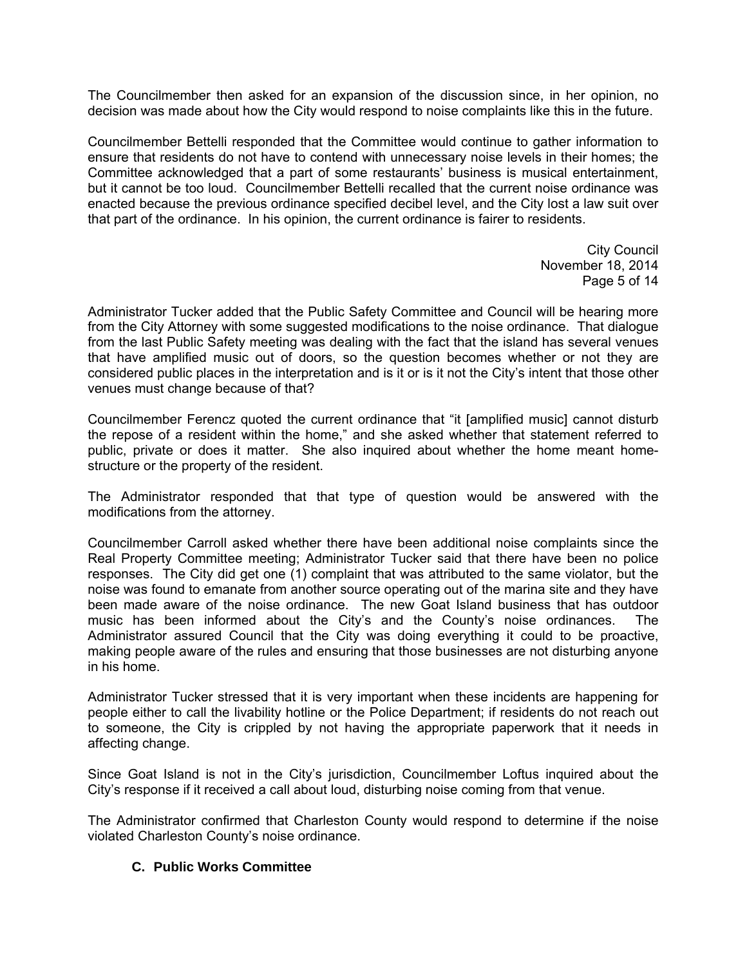The Councilmember then asked for an expansion of the discussion since, in her opinion, no decision was made about how the City would respond to noise complaints like this in the future.

Councilmember Bettelli responded that the Committee would continue to gather information to ensure that residents do not have to contend with unnecessary noise levels in their homes; the Committee acknowledged that a part of some restaurants' business is musical entertainment, but it cannot be too loud. Councilmember Bettelli recalled that the current noise ordinance was enacted because the previous ordinance specified decibel level, and the City lost a law suit over that part of the ordinance. In his opinion, the current ordinance is fairer to residents.

> City Council November 18, 2014 Page 5 of 14

Administrator Tucker added that the Public Safety Committee and Council will be hearing more from the City Attorney with some suggested modifications to the noise ordinance. That dialogue from the last Public Safety meeting was dealing with the fact that the island has several venues that have amplified music out of doors, so the question becomes whether or not they are considered public places in the interpretation and is it or is it not the City's intent that those other venues must change because of that?

Councilmember Ferencz quoted the current ordinance that "it [amplified music] cannot disturb the repose of a resident within the home," and she asked whether that statement referred to public, private or does it matter. She also inquired about whether the home meant homestructure or the property of the resident.

The Administrator responded that that type of question would be answered with the modifications from the attorney.

Councilmember Carroll asked whether there have been additional noise complaints since the Real Property Committee meeting; Administrator Tucker said that there have been no police responses. The City did get one (1) complaint that was attributed to the same violator, but the noise was found to emanate from another source operating out of the marina site and they have been made aware of the noise ordinance. The new Goat Island business that has outdoor music has been informed about the City's and the County's noise ordinances. The Administrator assured Council that the City was doing everything it could to be proactive, making people aware of the rules and ensuring that those businesses are not disturbing anyone in his home.

Administrator Tucker stressed that it is very important when these incidents are happening for people either to call the livability hotline or the Police Department; if residents do not reach out to someone, the City is crippled by not having the appropriate paperwork that it needs in affecting change.

Since Goat Island is not in the City's jurisdiction, Councilmember Loftus inquired about the City's response if it received a call about loud, disturbing noise coming from that venue.

The Administrator confirmed that Charleston County would respond to determine if the noise violated Charleston County's noise ordinance.

## **C. Public Works Committee**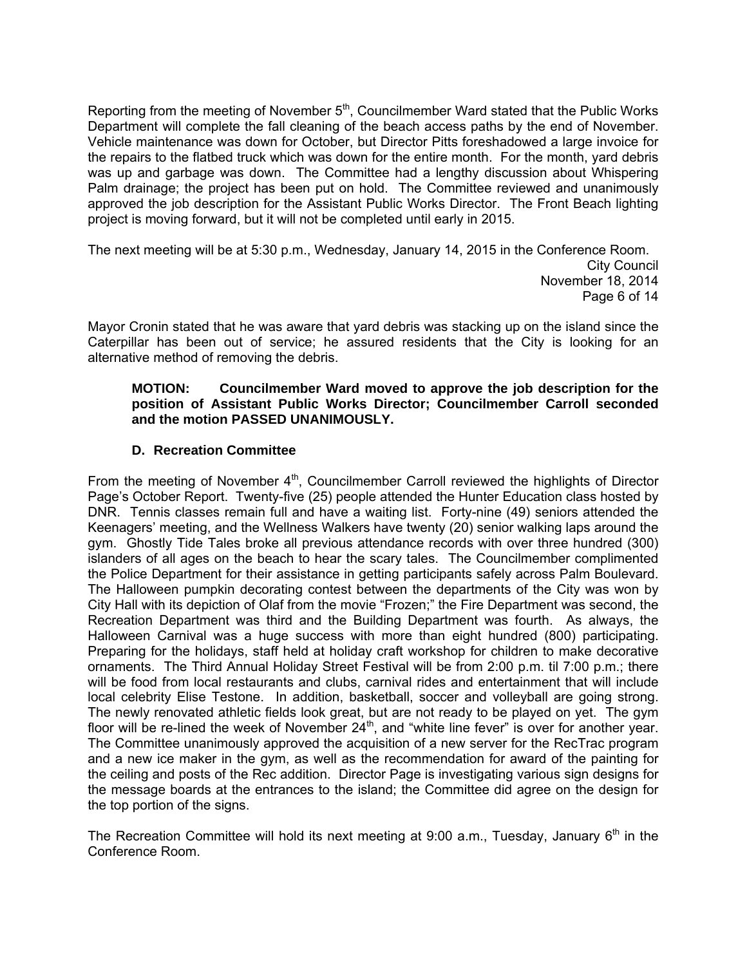Reporting from the meeting of November 5<sup>th</sup>, Councilmember Ward stated that the Public Works Department will complete the fall cleaning of the beach access paths by the end of November. Vehicle maintenance was down for October, but Director Pitts foreshadowed a large invoice for the repairs to the flatbed truck which was down for the entire month. For the month, yard debris was up and garbage was down. The Committee had a lengthy discussion about Whispering Palm drainage; the project has been put on hold. The Committee reviewed and unanimously approved the job description for the Assistant Public Works Director. The Front Beach lighting project is moving forward, but it will not be completed until early in 2015.

The next meeting will be at 5:30 p.m., Wednesday, January 14, 2015 in the Conference Room. City Council November 18, 2014 Page 6 of 14

Mayor Cronin stated that he was aware that yard debris was stacking up on the island since the Caterpillar has been out of service; he assured residents that the City is looking for an alternative method of removing the debris.

## **MOTION: Councilmember Ward moved to approve the job description for the position of Assistant Public Works Director; Councilmember Carroll seconded and the motion PASSED UNANIMOUSLY.**

## **D. Recreation Committee**

From the meeting of November  $4<sup>th</sup>$ , Councilmember Carroll reviewed the highlights of Director Page's October Report. Twenty-five (25) people attended the Hunter Education class hosted by DNR. Tennis classes remain full and have a waiting list. Forty-nine (49) seniors attended the Keenagers' meeting, and the Wellness Walkers have twenty (20) senior walking laps around the gym. Ghostly Tide Tales broke all previous attendance records with over three hundred (300) islanders of all ages on the beach to hear the scary tales. The Councilmember complimented the Police Department for their assistance in getting participants safely across Palm Boulevard. The Halloween pumpkin decorating contest between the departments of the City was won by City Hall with its depiction of Olaf from the movie "Frozen;" the Fire Department was second, the Recreation Department was third and the Building Department was fourth. As always, the Halloween Carnival was a huge success with more than eight hundred (800) participating. Preparing for the holidays, staff held at holiday craft workshop for children to make decorative ornaments. The Third Annual Holiday Street Festival will be from 2:00 p.m. til 7:00 p.m.; there will be food from local restaurants and clubs, carnival rides and entertainment that will include local celebrity Elise Testone. In addition, basketball, soccer and volleyball are going strong. The newly renovated athletic fields look great, but are not ready to be played on yet. The gym floor will be re-lined the week of November 24<sup>th</sup>, and "white line fever" is over for another year. The Committee unanimously approved the acquisition of a new server for the RecTrac program and a new ice maker in the gym, as well as the recommendation for award of the painting for the ceiling and posts of the Rec addition. Director Page is investigating various sign designs for the message boards at the entrances to the island; the Committee did agree on the design for the top portion of the signs.

The Recreation Committee will hold its next meeting at 9:00 a.m., Tuesday, January  $6<sup>th</sup>$  in the Conference Room.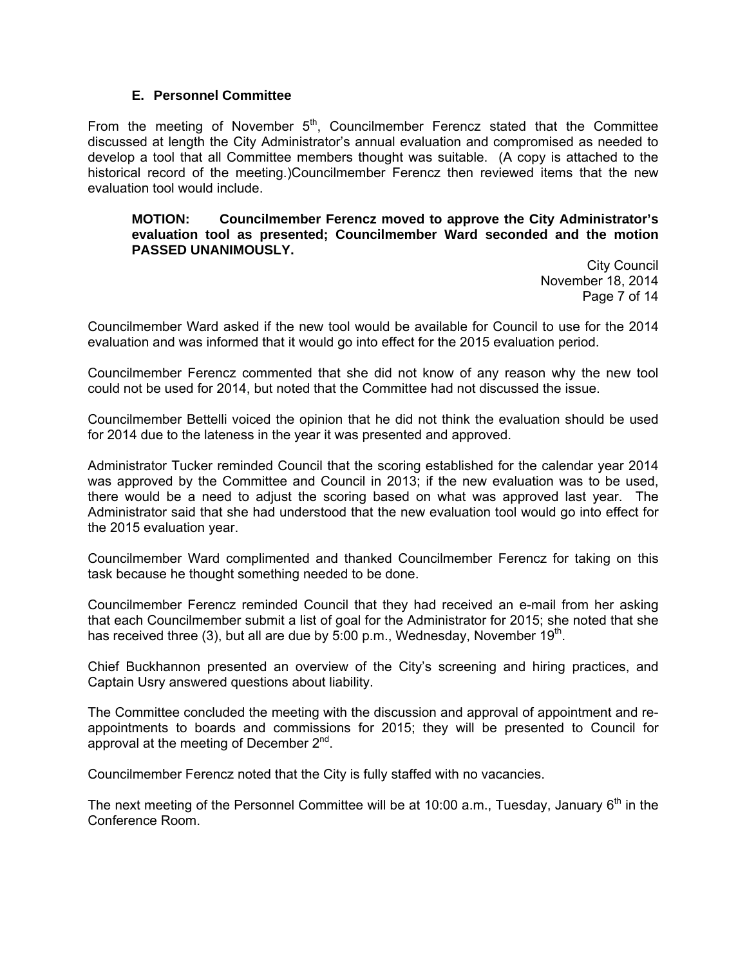### **E. Personnel Committee**

From the meeting of November  $5<sup>th</sup>$ , Councilmember Ferencz stated that the Committee discussed at length the City Administrator's annual evaluation and compromised as needed to develop a tool that all Committee members thought was suitable. (A copy is attached to the historical record of the meeting.)Councilmember Ferencz then reviewed items that the new evaluation tool would include.

#### **MOTION: Councilmember Ferencz moved to approve the City Administrator's evaluation tool as presented; Councilmember Ward seconded and the motion PASSED UNANIMOUSLY.**

City Council November 18, 2014 Page 7 of 14

Councilmember Ward asked if the new tool would be available for Council to use for the 2014 evaluation and was informed that it would go into effect for the 2015 evaluation period.

Councilmember Ferencz commented that she did not know of any reason why the new tool could not be used for 2014, but noted that the Committee had not discussed the issue.

Councilmember Bettelli voiced the opinion that he did not think the evaluation should be used for 2014 due to the lateness in the year it was presented and approved.

Administrator Tucker reminded Council that the scoring established for the calendar year 2014 was approved by the Committee and Council in 2013; if the new evaluation was to be used, there would be a need to adjust the scoring based on what was approved last year. The Administrator said that she had understood that the new evaluation tool would go into effect for the 2015 evaluation year.

Councilmember Ward complimented and thanked Councilmember Ferencz for taking on this task because he thought something needed to be done.

Councilmember Ferencz reminded Council that they had received an e-mail from her asking that each Councilmember submit a list of goal for the Administrator for 2015; she noted that she has received three (3), but all are due by 5:00 p.m., Wednesday, November  $19<sup>th</sup>$ .

Chief Buckhannon presented an overview of the City's screening and hiring practices, and Captain Usry answered questions about liability.

The Committee concluded the meeting with the discussion and approval of appointment and reappointments to boards and commissions for 2015; they will be presented to Council for approval at the meeting of December 2<sup>nd</sup>.

Councilmember Ferencz noted that the City is fully staffed with no vacancies.

The next meeting of the Personnel Committee will be at 10:00 a.m., Tuesday, January  $6<sup>th</sup>$  in the Conference Room.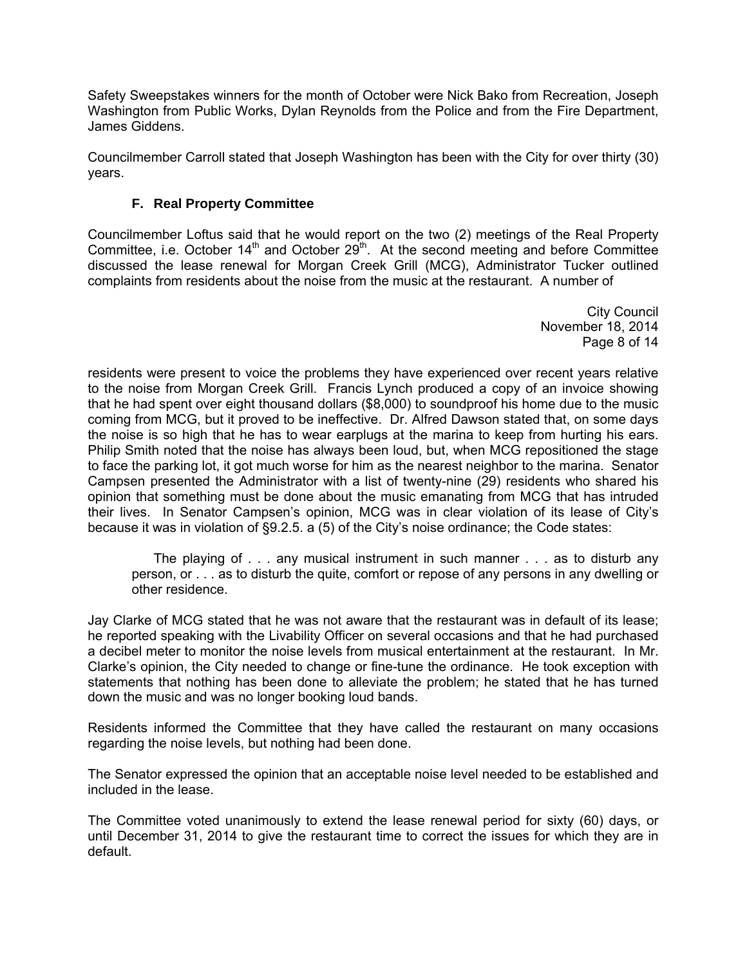Safety Sweepstakes winners for the month of October were Nick Bako from Recreation, Joseph Washington from Public Works, Dylan Reynolds from the Police and from the Fire Department, James Giddens.

Councilmember Carroll stated that Joseph Washington has been with the City for over thirty (30) years.

# **F. Real Property Committee**

Councilmember Loftus said that he would report on the two (2) meetings of the Real Property Committee, i.e. October  $14<sup>th</sup>$  and October  $29<sup>th</sup>$ . At the second meeting and before Committee discussed the lease renewal for Morgan Creek Grill (MCG), Administrator Tucker outlined complaints from residents about the noise from the music at the restaurant. A number of

> City Council November 18, 2014 Page 8 of 14

residents were present to voice the problems they have experienced over recent years relative to the noise from Morgan Creek Grill. Francis Lynch produced a copy of an invoice showing that he had spent over eight thousand dollars (\$8,000) to soundproof his home due to the music coming from MCG, but it proved to be ineffective. Dr. Alfred Dawson stated that, on some days the noise is so high that he has to wear earplugs at the marina to keep from hurting his ears. Philip Smith noted that the noise has always been loud, but, when MCG repositioned the stage to face the parking lot, it got much worse for him as the nearest neighbor to the marina. Senator Campsen presented the Administrator with a list of twenty-nine (29) residents who shared his opinion that something must be done about the music emanating from MCG that has intruded their lives. In Senator Campsen's opinion, MCG was in clear violation of its lease of City's because it was in violation of §9.2.5. a (5) of the City's noise ordinance; the Code states:

 The playing of . . . any musical instrument in such manner . . . as to disturb any person, or . . . as to disturb the quite, comfort or repose of any persons in any dwelling or other residence.

Jay Clarke of MCG stated that he was not aware that the restaurant was in default of its lease; he reported speaking with the Livability Officer on several occasions and that he had purchased a decibel meter to monitor the noise levels from musical entertainment at the restaurant. In Mr. Clarke's opinion, the City needed to change or fine-tune the ordinance. He took exception with statements that nothing has been done to alleviate the problem; he stated that he has turned down the music and was no longer booking loud bands.

Residents informed the Committee that they have called the restaurant on many occasions regarding the noise levels, but nothing had been done.

The Senator expressed the opinion that an acceptable noise level needed to be established and included in the lease.

The Committee voted unanimously to extend the lease renewal period for sixty (60) days, or until December 31, 2014 to give the restaurant time to correct the issues for which they are in default.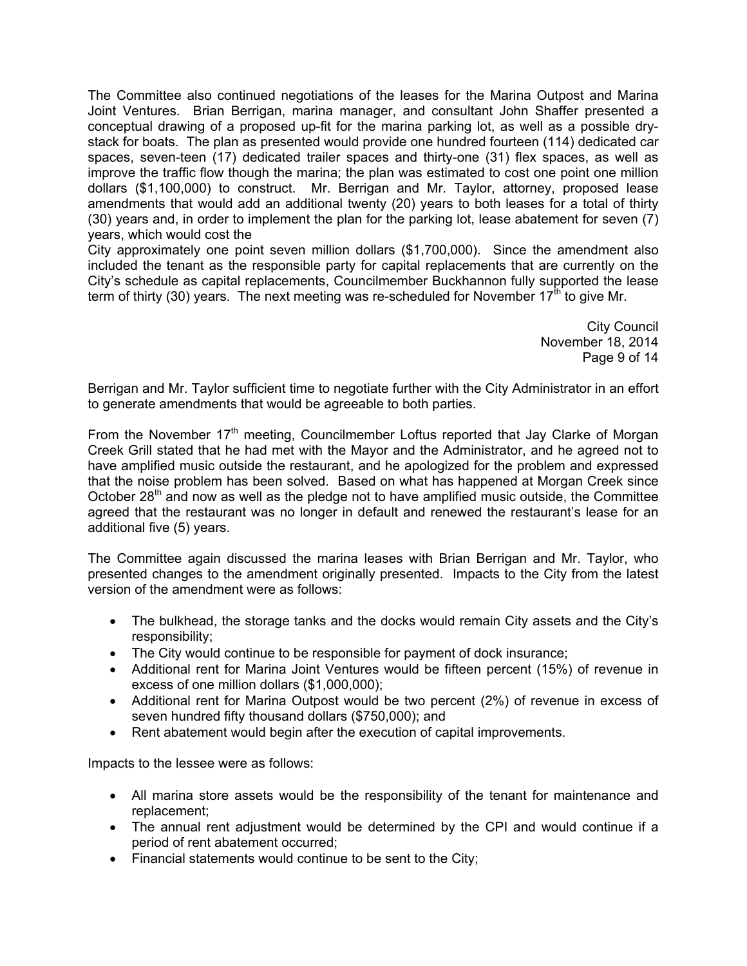The Committee also continued negotiations of the leases for the Marina Outpost and Marina Joint Ventures. Brian Berrigan, marina manager, and consultant John Shaffer presented a conceptual drawing of a proposed up-fit for the marina parking lot, as well as a possible drystack for boats. The plan as presented would provide one hundred fourteen (114) dedicated car spaces, seven-teen (17) dedicated trailer spaces and thirty-one (31) flex spaces, as well as improve the traffic flow though the marina; the plan was estimated to cost one point one million dollars (\$1,100,000) to construct. Mr. Berrigan and Mr. Taylor, attorney, proposed lease amendments that would add an additional twenty (20) years to both leases for a total of thirty (30) years and, in order to implement the plan for the parking lot, lease abatement for seven (7) years, which would cost the

City approximately one point seven million dollars (\$1,700,000). Since the amendment also included the tenant as the responsible party for capital replacements that are currently on the City's schedule as capital replacements, Councilmember Buckhannon fully supported the lease term of thirty (30) years. The next meeting was re-scheduled for November 17<sup>th</sup> to give Mr.

> City Council November 18, 2014 Page 9 of 14

Berrigan and Mr. Taylor sufficient time to negotiate further with the City Administrator in an effort to generate amendments that would be agreeable to both parties.

From the November  $17<sup>th</sup>$  meeting, Councilmember Loftus reported that Jay Clarke of Morgan Creek Grill stated that he had met with the Mayor and the Administrator, and he agreed not to have amplified music outside the restaurant, and he apologized for the problem and expressed that the noise problem has been solved. Based on what has happened at Morgan Creek since October  $28<sup>th</sup>$  and now as well as the pledge not to have amplified music outside, the Committee agreed that the restaurant was no longer in default and renewed the restaurant's lease for an additional five (5) years.

The Committee again discussed the marina leases with Brian Berrigan and Mr. Taylor, who presented changes to the amendment originally presented. Impacts to the City from the latest version of the amendment were as follows:

- The bulkhead, the storage tanks and the docks would remain City assets and the City's responsibility;
- The City would continue to be responsible for payment of dock insurance;
- Additional rent for Marina Joint Ventures would be fifteen percent (15%) of revenue in excess of one million dollars (\$1,000,000);
- Additional rent for Marina Outpost would be two percent (2%) of revenue in excess of seven hundred fifty thousand dollars (\$750,000); and
- Rent abatement would begin after the execution of capital improvements.

Impacts to the lessee were as follows:

- All marina store assets would be the responsibility of the tenant for maintenance and replacement;
- The annual rent adjustment would be determined by the CPI and would continue if a period of rent abatement occurred;
- Financial statements would continue to be sent to the City;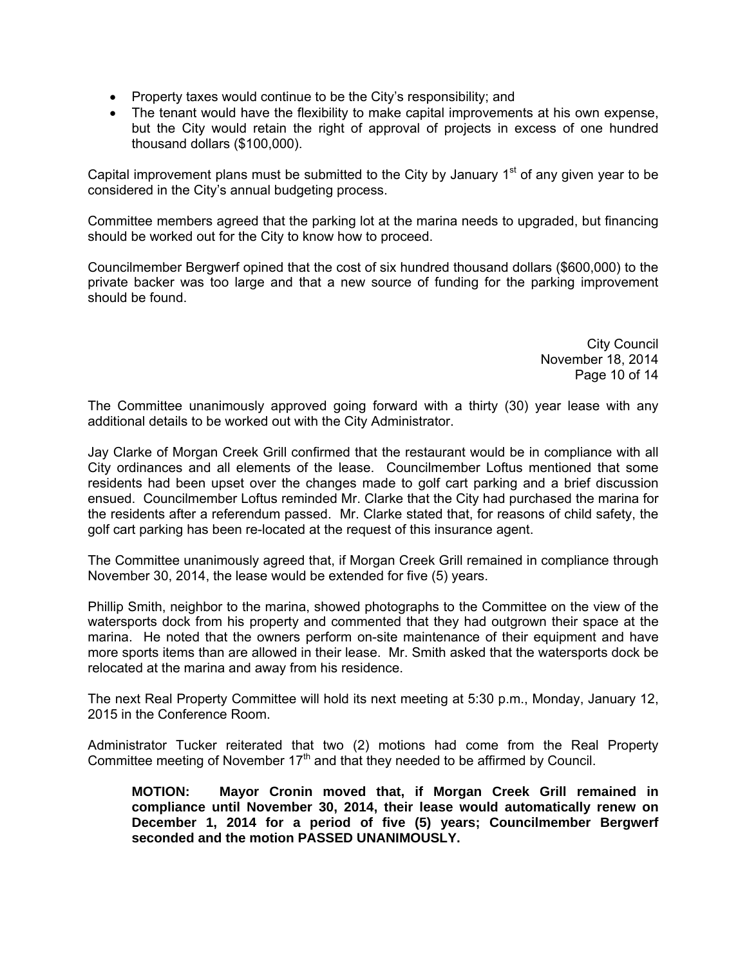- Property taxes would continue to be the City's responsibility; and
- The tenant would have the flexibility to make capital improvements at his own expense, but the City would retain the right of approval of projects in excess of one hundred thousand dollars (\$100,000).

Capital improvement plans must be submitted to the City by January  $1<sup>st</sup>$  of any given year to be considered in the City's annual budgeting process.

Committee members agreed that the parking lot at the marina needs to upgraded, but financing should be worked out for the City to know how to proceed.

Councilmember Bergwerf opined that the cost of six hundred thousand dollars (\$600,000) to the private backer was too large and that a new source of funding for the parking improvement should be found.

> City Council November 18, 2014 Page 10 of 14

The Committee unanimously approved going forward with a thirty (30) year lease with any additional details to be worked out with the City Administrator.

Jay Clarke of Morgan Creek Grill confirmed that the restaurant would be in compliance with all City ordinances and all elements of the lease. Councilmember Loftus mentioned that some residents had been upset over the changes made to golf cart parking and a brief discussion ensued. Councilmember Loftus reminded Mr. Clarke that the City had purchased the marina for the residents after a referendum passed. Mr. Clarke stated that, for reasons of child safety, the golf cart parking has been re-located at the request of this insurance agent.

The Committee unanimously agreed that, if Morgan Creek Grill remained in compliance through November 30, 2014, the lease would be extended for five (5) years.

Phillip Smith, neighbor to the marina, showed photographs to the Committee on the view of the watersports dock from his property and commented that they had outgrown their space at the marina. He noted that the owners perform on-site maintenance of their equipment and have more sports items than are allowed in their lease. Mr. Smith asked that the watersports dock be relocated at the marina and away from his residence.

The next Real Property Committee will hold its next meeting at 5:30 p.m., Monday, January 12, 2015 in the Conference Room.

Administrator Tucker reiterated that two (2) motions had come from the Real Property Committee meeting of November  $17<sup>th</sup>$  and that they needed to be affirmed by Council.

**MOTION: Mayor Cronin moved that, if Morgan Creek Grill remained in compliance until November 30, 2014, their lease would automatically renew on December 1, 2014 for a period of five (5) years; Councilmember Bergwerf seconded and the motion PASSED UNANIMOUSLY.**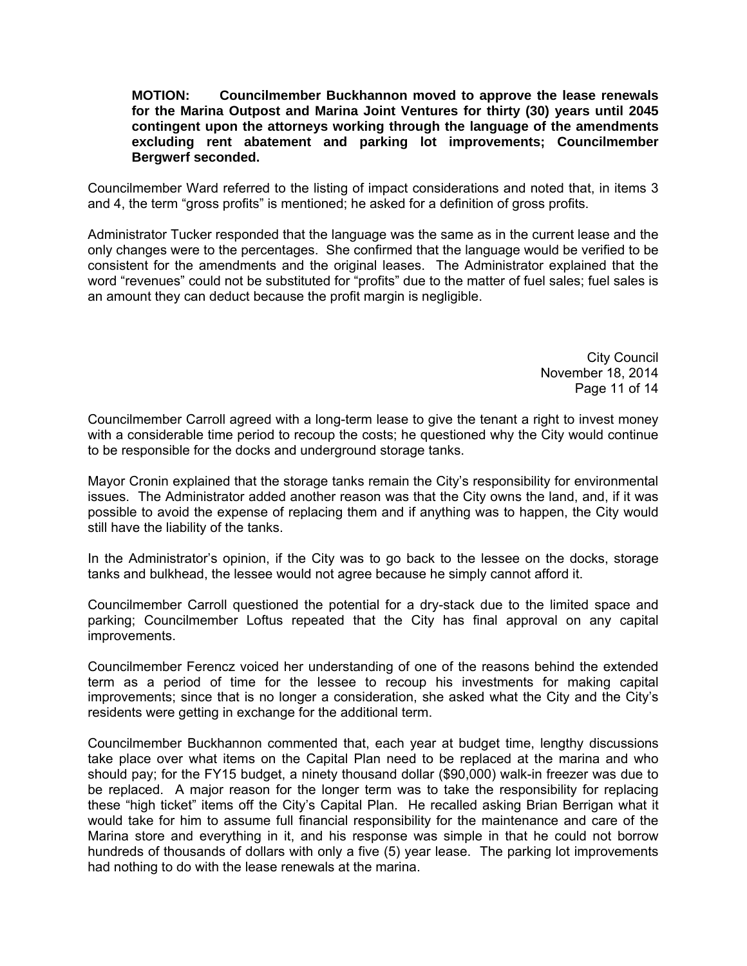### **MOTION: Councilmember Buckhannon moved to approve the lease renewals for the Marina Outpost and Marina Joint Ventures for thirty (30) years until 2045 contingent upon the attorneys working through the language of the amendments excluding rent abatement and parking lot improvements; Councilmember Bergwerf seconded.**

Councilmember Ward referred to the listing of impact considerations and noted that, in items 3 and 4, the term "gross profits" is mentioned; he asked for a definition of gross profits.

Administrator Tucker responded that the language was the same as in the current lease and the only changes were to the percentages. She confirmed that the language would be verified to be consistent for the amendments and the original leases. The Administrator explained that the word "revenues" could not be substituted for "profits" due to the matter of fuel sales; fuel sales is an amount they can deduct because the profit margin is negligible.

> City Council November 18, 2014 Page 11 of 14

Councilmember Carroll agreed with a long-term lease to give the tenant a right to invest money with a considerable time period to recoup the costs; he questioned why the City would continue to be responsible for the docks and underground storage tanks.

Mayor Cronin explained that the storage tanks remain the City's responsibility for environmental issues. The Administrator added another reason was that the City owns the land, and, if it was possible to avoid the expense of replacing them and if anything was to happen, the City would still have the liability of the tanks.

In the Administrator's opinion, if the City was to go back to the lessee on the docks, storage tanks and bulkhead, the lessee would not agree because he simply cannot afford it.

Councilmember Carroll questioned the potential for a dry-stack due to the limited space and parking; Councilmember Loftus repeated that the City has final approval on any capital improvements.

Councilmember Ferencz voiced her understanding of one of the reasons behind the extended term as a period of time for the lessee to recoup his investments for making capital improvements; since that is no longer a consideration, she asked what the City and the City's residents were getting in exchange for the additional term.

Councilmember Buckhannon commented that, each year at budget time, lengthy discussions take place over what items on the Capital Plan need to be replaced at the marina and who should pay; for the FY15 budget, a ninety thousand dollar (\$90,000) walk-in freezer was due to be replaced. A major reason for the longer term was to take the responsibility for replacing these "high ticket" items off the City's Capital Plan. He recalled asking Brian Berrigan what it would take for him to assume full financial responsibility for the maintenance and care of the Marina store and everything in it, and his response was simple in that he could not borrow hundreds of thousands of dollars with only a five (5) year lease. The parking lot improvements had nothing to do with the lease renewals at the marina.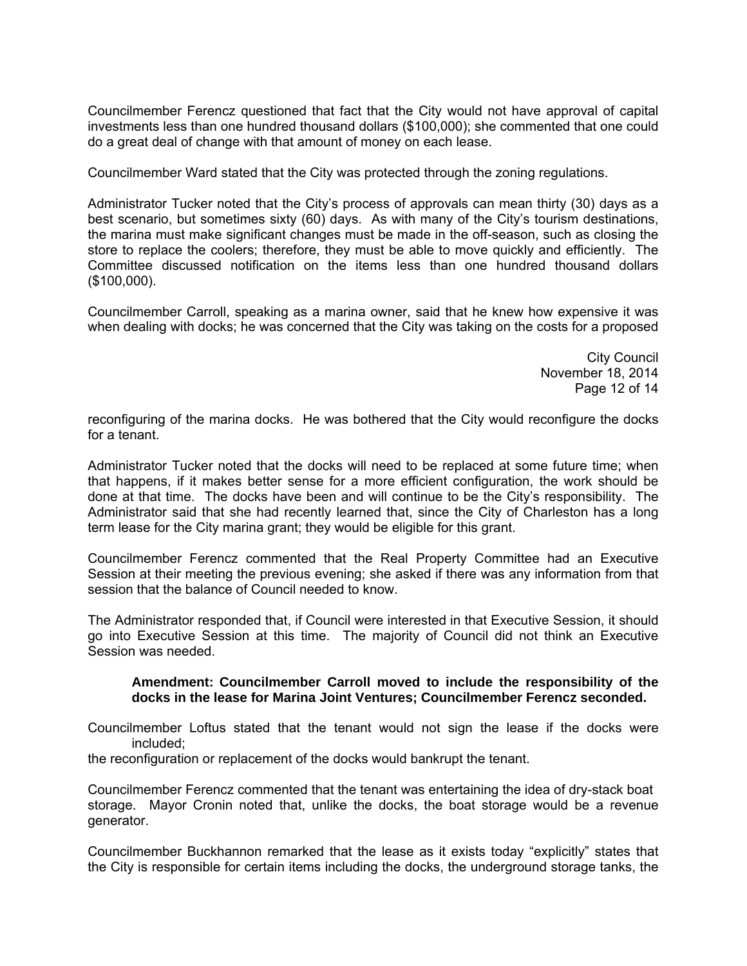Councilmember Ferencz questioned that fact that the City would not have approval of capital investments less than one hundred thousand dollars (\$100,000); she commented that one could do a great deal of change with that amount of money on each lease.

Councilmember Ward stated that the City was protected through the zoning regulations.

Administrator Tucker noted that the City's process of approvals can mean thirty (30) days as a best scenario, but sometimes sixty (60) days. As with many of the City's tourism destinations, the marina must make significant changes must be made in the off-season, such as closing the store to replace the coolers; therefore, they must be able to move quickly and efficiently. The Committee discussed notification on the items less than one hundred thousand dollars (\$100,000).

Councilmember Carroll, speaking as a marina owner, said that he knew how expensive it was when dealing with docks; he was concerned that the City was taking on the costs for a proposed

> City Council November 18, 2014 Page 12 of 14

reconfiguring of the marina docks. He was bothered that the City would reconfigure the docks for a tenant.

Administrator Tucker noted that the docks will need to be replaced at some future time; when that happens, if it makes better sense for a more efficient configuration, the work should be done at that time. The docks have been and will continue to be the City's responsibility. The Administrator said that she had recently learned that, since the City of Charleston has a long term lease for the City marina grant; they would be eligible for this grant.

Councilmember Ferencz commented that the Real Property Committee had an Executive Session at their meeting the previous evening; she asked if there was any information from that session that the balance of Council needed to know.

The Administrator responded that, if Council were interested in that Executive Session, it should go into Executive Session at this time. The majority of Council did not think an Executive Session was needed.

#### **Amendment: Councilmember Carroll moved to include the responsibility of the docks in the lease for Marina Joint Ventures; Councilmember Ferencz seconded.**

Councilmember Loftus stated that the tenant would not sign the lease if the docks were included;

the reconfiguration or replacement of the docks would bankrupt the tenant.

Councilmember Ferencz commented that the tenant was entertaining the idea of dry-stack boat storage. Mayor Cronin noted that, unlike the docks, the boat storage would be a revenue generator.

Councilmember Buckhannon remarked that the lease as it exists today "explicitly" states that the City is responsible for certain items including the docks, the underground storage tanks, the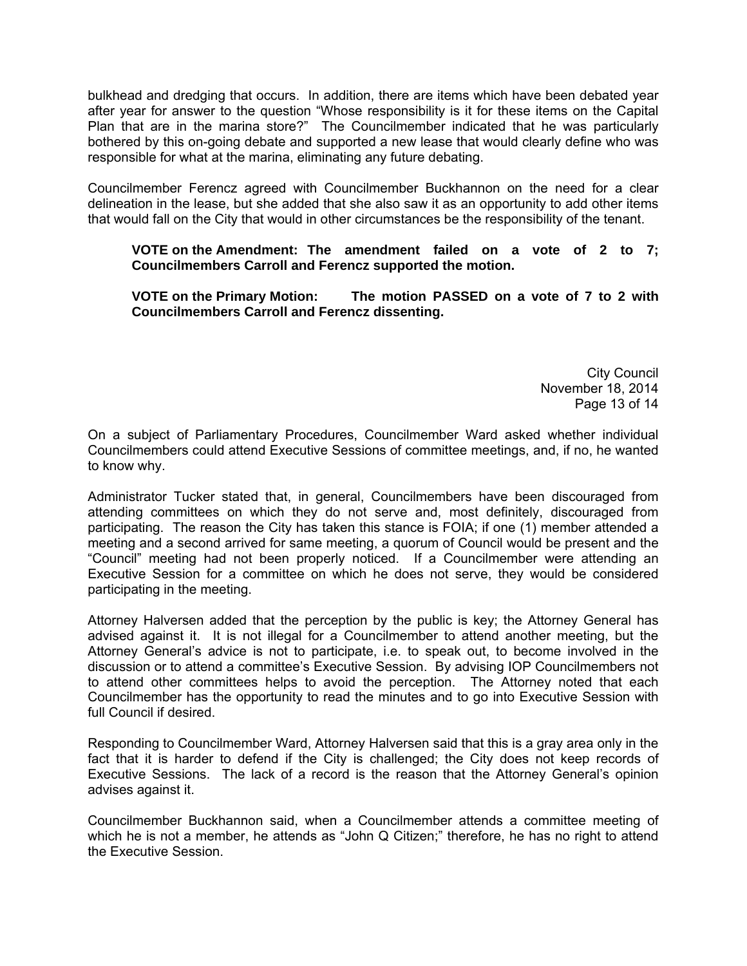bulkhead and dredging that occurs. In addition, there are items which have been debated year after year for answer to the question "Whose responsibility is it for these items on the Capital Plan that are in the marina store?" The Councilmember indicated that he was particularly bothered by this on-going debate and supported a new lease that would clearly define who was responsible for what at the marina, eliminating any future debating.

Councilmember Ferencz agreed with Councilmember Buckhannon on the need for a clear delineation in the lease, but she added that she also saw it as an opportunity to add other items that would fall on the City that would in other circumstances be the responsibility of the tenant.

## **VOTE on the Amendment: The amendment failed on a vote of 2 to 7; Councilmembers Carroll and Ferencz supported the motion.**

## **VOTE on the Primary Motion: The motion PASSED on a vote of 7 to 2 with Councilmembers Carroll and Ferencz dissenting.**

City Council November 18, 2014 Page 13 of 14

On a subject of Parliamentary Procedures, Councilmember Ward asked whether individual Councilmembers could attend Executive Sessions of committee meetings, and, if no, he wanted to know why.

Administrator Tucker stated that, in general, Councilmembers have been discouraged from attending committees on which they do not serve and, most definitely, discouraged from participating. The reason the City has taken this stance is FOIA; if one (1) member attended a meeting and a second arrived for same meeting, a quorum of Council would be present and the "Council" meeting had not been properly noticed. If a Councilmember were attending an Executive Session for a committee on which he does not serve, they would be considered participating in the meeting.

Attorney Halversen added that the perception by the public is key; the Attorney General has advised against it. It is not illegal for a Councilmember to attend another meeting, but the Attorney General's advice is not to participate, i.e. to speak out, to become involved in the discussion or to attend a committee's Executive Session. By advising IOP Councilmembers not to attend other committees helps to avoid the perception. The Attorney noted that each Councilmember has the opportunity to read the minutes and to go into Executive Session with full Council if desired.

Responding to Councilmember Ward, Attorney Halversen said that this is a gray area only in the fact that it is harder to defend if the City is challenged; the City does not keep records of Executive Sessions. The lack of a record is the reason that the Attorney General's opinion advises against it.

Councilmember Buckhannon said, when a Councilmember attends a committee meeting of which he is not a member, he attends as "John Q Citizen;" therefore, he has no right to attend the Executive Session.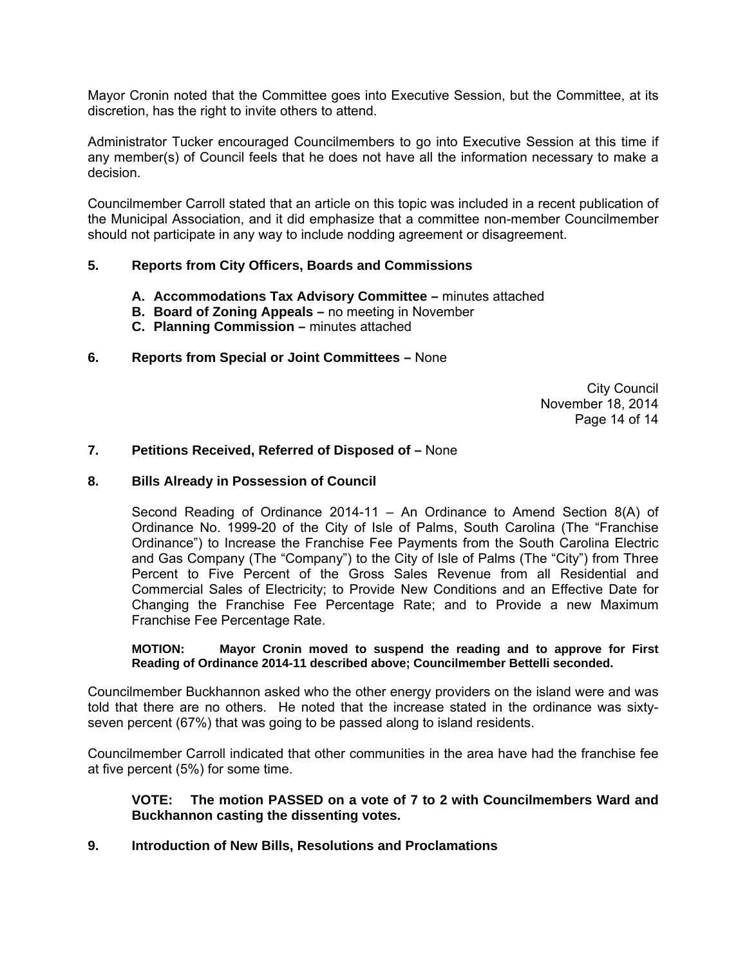Mayor Cronin noted that the Committee goes into Executive Session, but the Committee, at its discretion, has the right to invite others to attend.

Administrator Tucker encouraged Councilmembers to go into Executive Session at this time if any member(s) of Council feels that he does not have all the information necessary to make a decision.

Councilmember Carroll stated that an article on this topic was included in a recent publication of the Municipal Association, and it did emphasize that a committee non-member Councilmember should not participate in any way to include nodding agreement or disagreement.

## **5. Reports from City Officers, Boards and Commissions**

- **A. Accommodations Tax Advisory Committee** minutes attached
- **B. Board of Zoning Appeals** no meeting in November
- **C. Planning Commission** minutes attached
- **6. Reports from Special or Joint Committees** None

City Council November 18, 2014 Page 14 of 14

### **7. Petitions Received, Referred of Disposed of –** None

#### **8. Bills Already in Possession of Council**

Second Reading of Ordinance 2014-11 – An Ordinance to Amend Section 8(A) of Ordinance No. 1999-20 of the City of Isle of Palms, South Carolina (The "Franchise Ordinance") to Increase the Franchise Fee Payments from the South Carolina Electric and Gas Company (The "Company") to the City of Isle of Palms (The "City") from Three Percent to Five Percent of the Gross Sales Revenue from all Residential and Commercial Sales of Electricity; to Provide New Conditions and an Effective Date for Changing the Franchise Fee Percentage Rate; and to Provide a new Maximum Franchise Fee Percentage Rate.

**MOTION: Mayor Cronin moved to suspend the reading and to approve for First Reading of Ordinance 2014-11 described above; Councilmember Bettelli seconded.** 

Councilmember Buckhannon asked who the other energy providers on the island were and was told that there are no others. He noted that the increase stated in the ordinance was sixtyseven percent (67%) that was going to be passed along to island residents.

Councilmember Carroll indicated that other communities in the area have had the franchise fee at five percent (5%) for some time.

### **VOTE: The motion PASSED on a vote of 7 to 2 with Councilmembers Ward and Buckhannon casting the dissenting votes.**

**9. Introduction of New Bills, Resolutions and Proclamations**